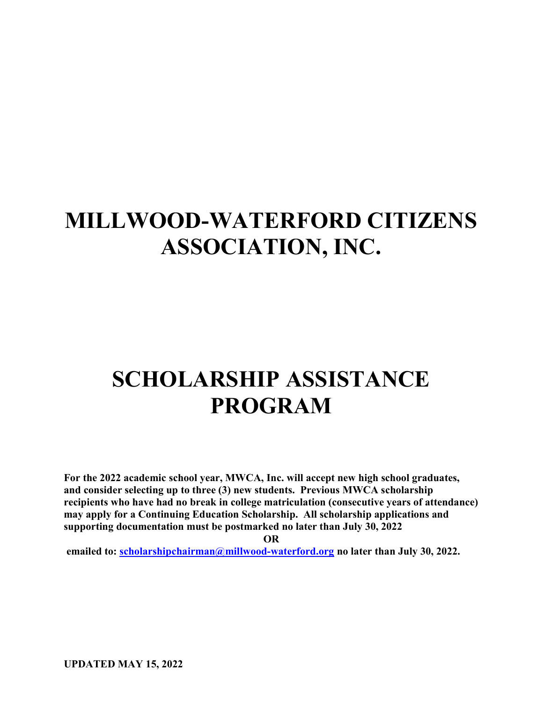# MILLWOOD-WATERFORD CITIZENS ASSOCIATION, INC.

# SCHOLARSHIP ASSISTANCE PROGRAM

For the 2022 academic school year, MWCA, Inc. will accept new high school graduates, and consider selecting up to three (3) new students. Previous MWCA scholarship recipients who have had no break in college matriculation (consecutive years of attendance) may apply for a Continuing Education Scholarship. All scholarship applications and supporting documentation must be postmarked no later than July 30, 2022

OR

emailed to: scholarshipchairman@millwood-waterford.org no later than July 30, 2022.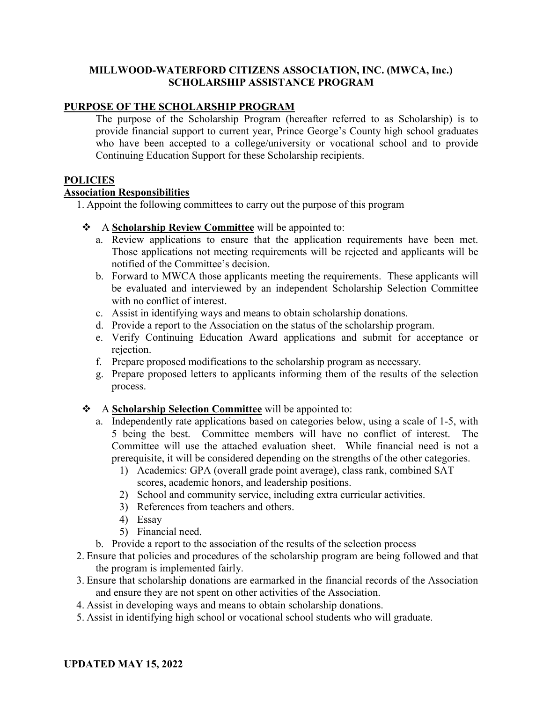## MILLWOOD-WATERFORD CITIZENS ASSOCIATION, INC. (MWCA, Inc.) SCHOLARSHIP ASSISTANCE PROGRAM

## PURPOSE OF THE SCHOLARSHIP PROGRAM

The purpose of the Scholarship Program (hereafter referred to as Scholarship) is to provide financial support to current year, Prince George's County high school graduates who have been accepted to a college/university or vocational school and to provide Continuing Education Support for these Scholarship recipients.

### **POLICIES**

# Association Responsibilities

1. Appoint the following committees to carry out the purpose of this program

- A Scholarship Review Committee will be appointed to:
	- a. Review applications to ensure that the application requirements have been met. Those applications not meeting requirements will be rejected and applicants will be notified of the Committee's decision.
	- b. Forward to MWCA those applicants meeting the requirements. These applicants will be evaluated and interviewed by an independent Scholarship Selection Committee with no conflict of interest.
	- c. Assist in identifying ways and means to obtain scholarship donations.
	- d. Provide a report to the Association on the status of the scholarship program.
	- e. Verify Continuing Education Award applications and submit for acceptance or rejection.
	- f. Prepare proposed modifications to the scholarship program as necessary.
	- g. Prepare proposed letters to applicants informing them of the results of the selection process.

## A **Scholarship Selection Committee** will be appointed to:

- a. Independently rate applications based on categories below, using a scale of 1-5, with 5 being the best. Committee members will have no conflict of interest. The Committee will use the attached evaluation sheet. While financial need is not a prerequisite, it will be considered depending on the strengths of the other categories.
	- 1) Academics: GPA (overall grade point average), class rank, combined SAT scores, academic honors, and leadership positions.
	- 2) School and community service, including extra curricular activities.
	- 3) References from teachers and others.
	- 4) Essay
	- 5) Financial need.
- b. Provide a report to the association of the results of the selection process
- 2. Ensure that policies and procedures of the scholarship program are being followed and that the program is implemented fairly.
- 3. Ensure that scholarship donations are earmarked in the financial records of the Association and ensure they are not spent on other activities of the Association.
- 4. Assist in developing ways and means to obtain scholarship donations.
- 5. Assist in identifying high school or vocational school students who will graduate.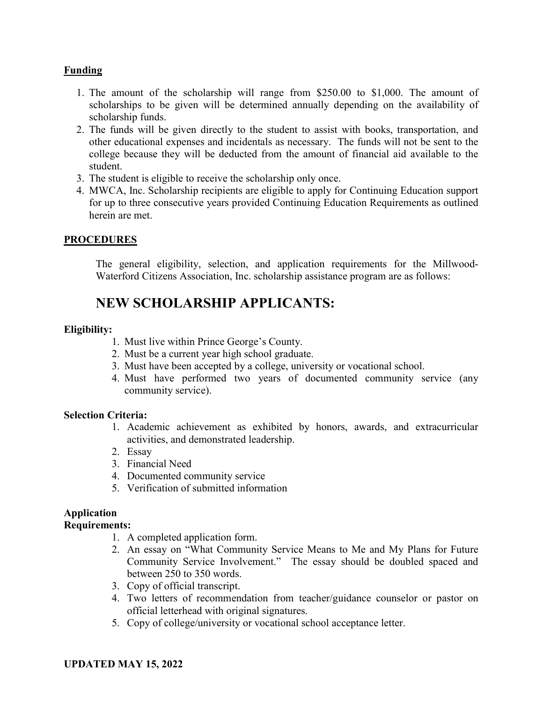# Funding

- 1. The amount of the scholarship will range from \$250.00 to \$1,000. The amount of scholarships to be given will be determined annually depending on the availability of scholarship funds.
- 2. The funds will be given directly to the student to assist with books, transportation, and other educational expenses and incidentals as necessary. The funds will not be sent to the college because they will be deducted from the amount of financial aid available to the student.
- 3. The student is eligible to receive the scholarship only once.
- 4. MWCA, Inc. Scholarship recipients are eligible to apply for Continuing Education support for up to three consecutive years provided Continuing Education Requirements as outlined herein are met.

## PROCEDURES

The general eligibility, selection, and application requirements for the Millwood-Waterford Citizens Association, Inc. scholarship assistance program are as follows:

# NEW SCHOLARSHIP APPLICANTS:

## Eligibility:

- 1. Must live within Prince George's County.
- 2. Must be a current year high school graduate.
- 3. Must have been accepted by a college, university or vocational school.
- 4. Must have performed two years of documented community service (any community service).

### Selection Criteria:

- 1. Academic achievement as exhibited by honors, awards, and extracurricular activities, and demonstrated leadership.
- 2. Essay
- 3. Financial Need
- 4. Documented community service
- 5. Verification of submitted information

# Application

### Requirements:

- 1. A completed application form.
- 2. An essay on "What Community Service Means to Me and My Plans for Future Community Service Involvement." The essay should be doubled spaced and between 250 to 350 words.
- 3. Copy of official transcript.
- 4. Two letters of recommendation from teacher/guidance counselor or pastor on official letterhead with original signatures.
- 5. Copy of college/university or vocational school acceptance letter.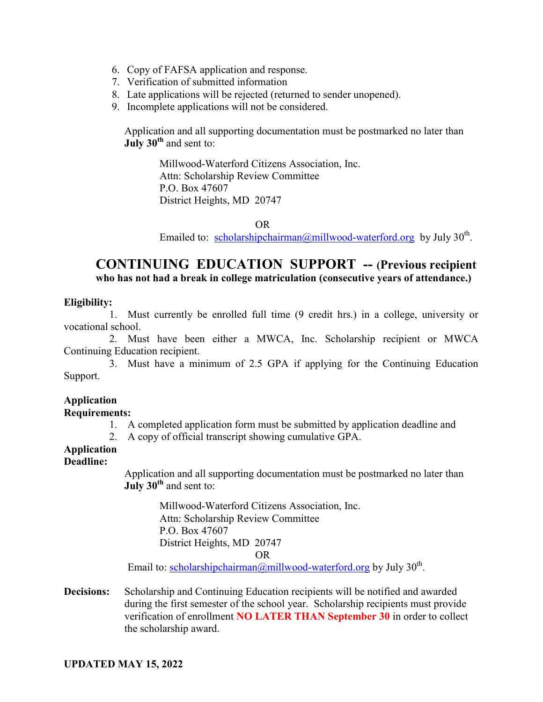- 6. Copy of FAFSA application and response.
- 7. Verification of submitted information
- 8. Late applications will be rejected (returned to sender unopened).
- 9. Incomplete applications will not be considered.

Application and all supporting documentation must be postmarked no later than  $\overline{J^{1}}$  July 30<sup>th</sup> and sent to:

> Millwood-Waterford Citizens Association, Inc. Attn: Scholarship Review Committee P.O. Box 47607 District Heights, MD 20747

> > OR

Emailed to: scholarshipchairman@millwood-waterford.org by July 30<sup>th</sup>.

# CONTINUING EDUCATION SUPPORT -- (Previous recipient who has not had a break in college matriculation (consecutive years of attendance.)

### Eligibility:

1. Must currently be enrolled full time (9 credit hrs.) in a college, university or vocational school.

2. Must have been either a MWCA, Inc. Scholarship recipient or MWCA Continuing Education recipient.

3. Must have a minimum of 2.5 GPA if applying for the Continuing Education Support.

# Application

### Requirements:

- 1. A completed application form must be submitted by application deadline and
- 2. A copy of official transcript showing cumulative GPA.

# Application

## Deadline:

Application and all supporting documentation must be postmarked no later than July  $30<sup>th</sup>$  and sent to:

> Millwood-Waterford Citizens Association, Inc. Attn: Scholarship Review Committee P.O. Box 47607 District Heights, MD 20747

#### OR

Email to: scholarshipchairman@millwood-waterford.org by July 30<sup>th</sup>.

Decisions: Scholarship and Continuing Education recipients will be notified and awarded during the first semester of the school year. Scholarship recipients must provide verification of enrollment NO LATER THAN September 30 in order to collect the scholarship award.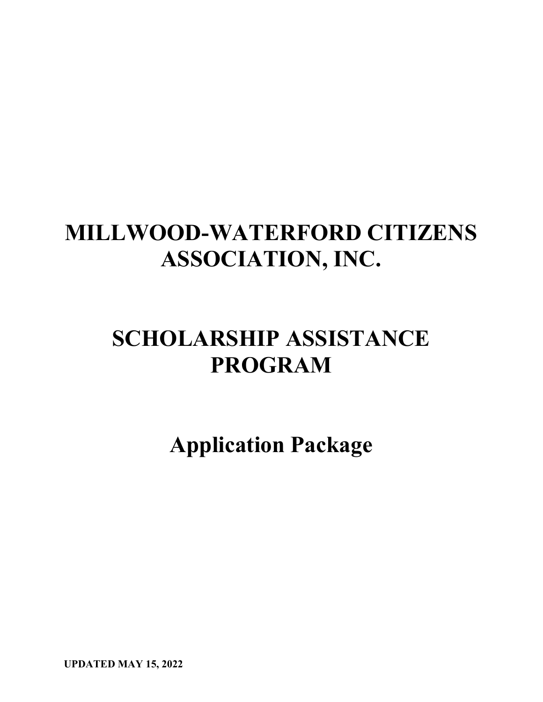# MILLWOOD-WATERFORD CITIZENS ASSOCIATION, INC.

# SCHOLARSHIP ASSISTANCE PROGRAM

Application Package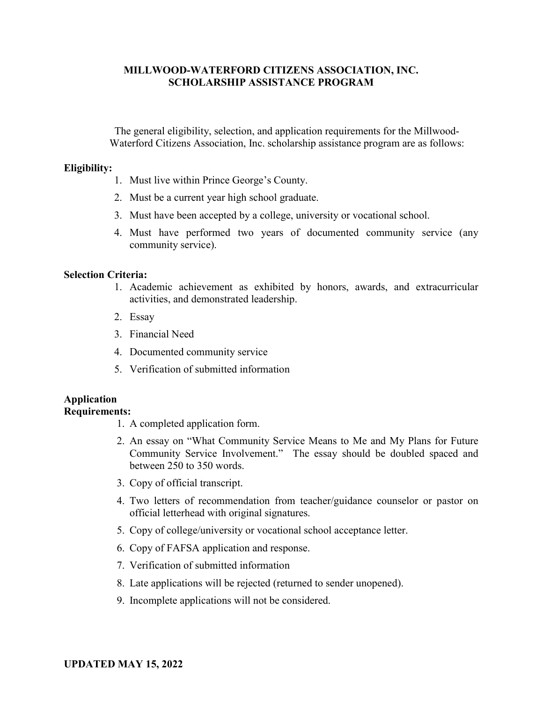## MILLWOOD-WATERFORD CITIZENS ASSOCIATION, INC. SCHOLARSHIP ASSISTANCE PROGRAM

The general eligibility, selection, and application requirements for the Millwood-Waterford Citizens Association, Inc. scholarship assistance program are as follows:

#### Eligibility:

- 1. Must live within Prince George's County.
- 2. Must be a current year high school graduate.
- 3. Must have been accepted by a college, university or vocational school.
- 4. Must have performed two years of documented community service (any community service).

#### Selection Criteria:

- 1. Academic achievement as exhibited by honors, awards, and extracurricular activities, and demonstrated leadership.
- 2. Essay
- 3. Financial Need
- 4. Documented community service
- 5. Verification of submitted information

#### Application Requirements:

- 1. A completed application form.
- 2. An essay on "What Community Service Means to Me and My Plans for Future Community Service Involvement." The essay should be doubled spaced and between 250 to 350 words.
- 3. Copy of official transcript.
- 4. Two letters of recommendation from teacher/guidance counselor or pastor on official letterhead with original signatures.
- 5. Copy of college/university or vocational school acceptance letter.
- 6. Copy of FAFSA application and response.
- 7. Verification of submitted information
- 8. Late applications will be rejected (returned to sender unopened).
- 9. Incomplete applications will not be considered.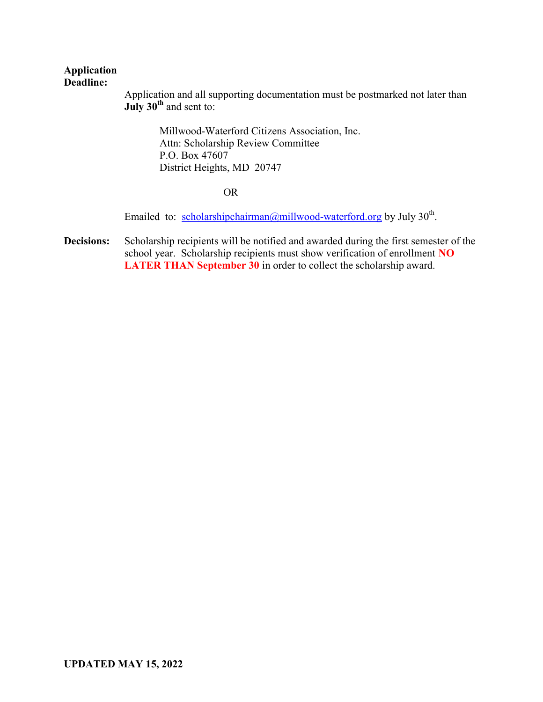#### Application Deadline:

Application and all supporting documentation must be postmarked not later than July  $30^{\text{th}}$  and sent to:

> Millwood-Waterford Citizens Association, Inc. Attn: Scholarship Review Committee P.O. Box 47607 District Heights, MD 20747

#### OR

Emailed to: scholarshipchairman@millwood-waterford.org by July 30<sup>th</sup>.

Decisions: Scholarship recipients will be notified and awarded during the first semester of the school year. Scholarship recipients must show verification of enrollment NO LATER THAN September 30 in order to collect the scholarship award.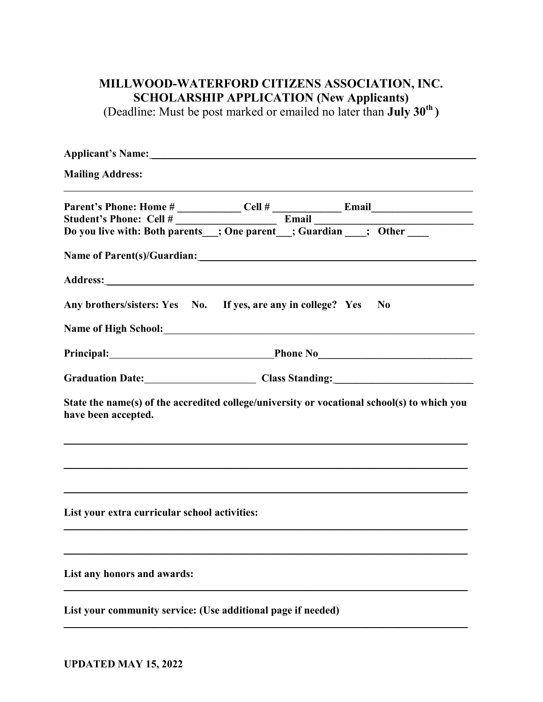# MILLWOOD-WATERFORD CITIZENS ASSOCIATION, INC. SCHOLARSHIP APPLICATION (New Applicants)

(Deadline: Must be post marked or emailed no later than  $\text{July } 30^{\text{th}}$ )

| <b>Mailing Address:</b>                                                                                                                                                                                                        |
|--------------------------------------------------------------------------------------------------------------------------------------------------------------------------------------------------------------------------------|
| Parent's Phone: Home # Cell # Cell # Email Email Email Email Email Culture of the Student's Phone: Cell # Email Email Email Email Email Email Email Email Do you live with: Both parents ___; One parent ___; Guardian ____; O |
| Name of Parent(s)/Guardian: Letterstone and the set of Parent states and the set of the set of the set of the set of the set of the set of the set of the set of the set of the set of the set of the set of the set of the se |
|                                                                                                                                                                                                                                |
| Any brothers/sisters: Yes No. If yes, are any in college? Yes<br>N <sub>0</sub>                                                                                                                                                |
|                                                                                                                                                                                                                                |
| Principal: Phone No Phone No Phone No Phone No Phone No Phone No Phone No Phone No Phone No Phone No Phone No Phone No Phone No Phone No Phone No Phone No Phone No Phone No Phone No Phone No Phone No Phone No Phone No Phon |
| Graduation Date: Class Standing: Class Standing:                                                                                                                                                                               |
| State the name(s) of the accredited college/university or vocational school(s) to which you<br>have been accepted.                                                                                                             |
|                                                                                                                                                                                                                                |
| List your extra curricular school activities:                                                                                                                                                                                  |
| List any honors and awards:                                                                                                                                                                                                    |
| List your community service: (Use additional page if needed)                                                                                                                                                                   |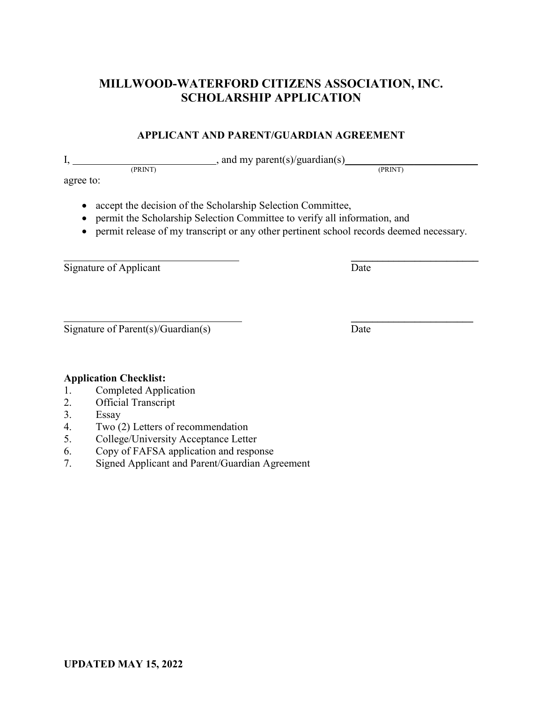# MILLWOOD-WATERFORD CITIZENS ASSOCIATION, INC. SCHOLARSHIP APPLICATION

# APPLICANT AND PARENT/GUARDIAN AGREEMENT

I,  $\frac{1}{(PRNT)}$ , and my parent(s)/guardian(s)  $\frac{1}{(PRNT)}$ 

agree to:

- accept the decision of the Scholarship Selection Committee,
- permit the Scholarship Selection Committee to verify all information, and
- permit release of my transcript or any other pertinent school records deemed necessary.

 $\frac{1}{2}$  , and the contract of the contract of the contract of the contract of the contract of the contract of the contract of the contract of the contract of the contract of the contract of the contract of the contract

Signature of Applicant Date

 $\overline{\phantom{a}}$  , where  $\overline{\phantom{a}}$  , where  $\overline{\phantom{a}}$  , where  $\overline{\phantom{a}}$  , where  $\overline{\phantom{a}}$  , where  $\overline{\phantom{a}}$ Signature of Parent(s)/Guardian(s) Date

#### Application Checklist: 1. Completed Application

- 2. Official Transcript
- 
- 3. Essay
- 4. Two (2) Letters of recommendation
- 5. College/University Acceptance Letter
- 6. Copy of FAFSA application and response
- 7. Signed Applicant and Parent/Guardian Agreement

(PRINT) (PRINT)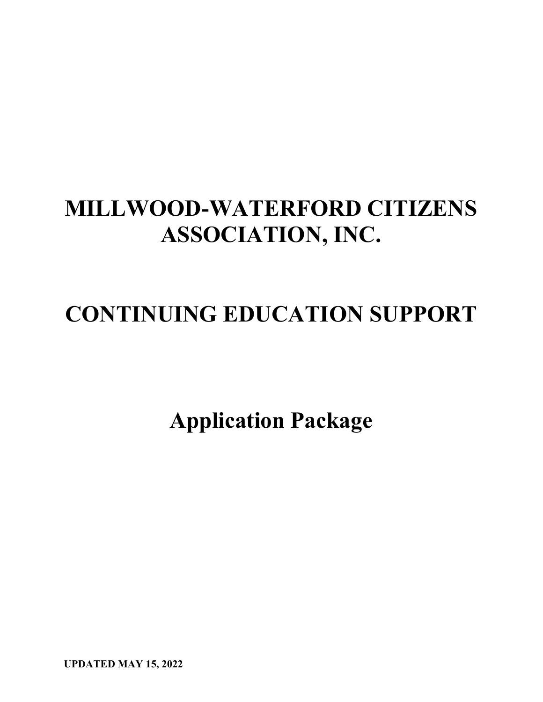# MILLWOOD-WATERFORD CITIZENS ASSOCIATION, INC.

# CONTINUING EDUCATION SUPPORT

Application Package